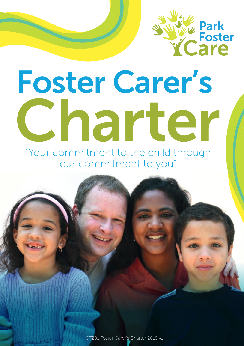

# Foster Carer's Charter

"Your commitment to the child through our commitment to you"

CT201 Foster Carer's Charter 2018 v1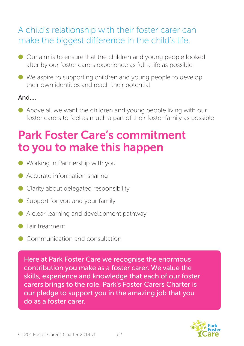## A child's relationship with their foster carer can make the biggest difference in the child's life.

- Our aim is to ensure that the children and young people looked after by our foster carers experience as full a life as possible
- We aspire to supporting children and young people to develop their own identities and reach their potential

#### And….

● Above all we want the children and young people living with our foster carers to feel as much a part of their foster family as possible

## Park Foster Care's commitment to you to make this happen

- Working in Partnership with you
- Accurate information sharing
- Clarity about delegated responsibility
- Support for you and your family
- $\bullet$  A clear learning and development pathway
- Fair treatment
- Communication and consultation

Here at Park Foster Care we recognise the enormous contribution you make as a foster carer. We value the skills, experience and knowledge that each of our foster carers brings to the role. Park's Foster Carers Charter is our pledge to support you in the amazing job that you do as a foster carer.

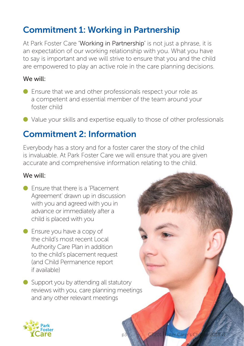## Commitment 1: Working in Partnership

At Park Foster Care 'Working in Partnership' is not just a phrase, it is an expectation of our working relationship with you. What you have to say is important and we will strive to ensure that you and the child are empowered to play an active role in the care planning decisions.

#### We will:

- Ensure that we and other professionals respect your role as a competent and essential member of the team around your foster child
- Value your skills and expertise equally to those of other professionals

### Commitment 2: Information

Everybody has a story and for a foster carer the story of the child is invaluable. At Park Foster Care we will ensure that you are given accurate and comprehensive information relating to the child.

- Ensure that there is a 'Placement' Agreement' drawn up in discussion with you and agreed with you in advance or immediately after a child is placed with you
- Ensure you have a copy of the child's most recent Local Authority Care Plan in addition to the child's placement request (and Child Permanence report if available)
- Support you by attending all statutory reviews with you, care planning meetings and any other relevant meetings

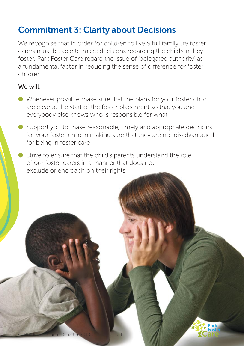## Commitment 3: Clarity about Decisions

We recognise that in order for children to live a full family life foster carers must be able to make decisions regarding the children they foster. Park Foster Care regard the issue of 'delegated authority' as a fundamental factor in reducing the sense of difference for foster children.

- Whenever possible make sure that the plans for your foster child are clear at the start of the foster placement so that you and everybody else knows who is responsible for what
- Support you to make reasonable, timely and appropriate decisions for your foster child in making sure that they are not disadvantaged for being in foster care
- Strive to ensure that the child's parents understand the role of our foster carers in a manner that does not exclude or encroach on their rights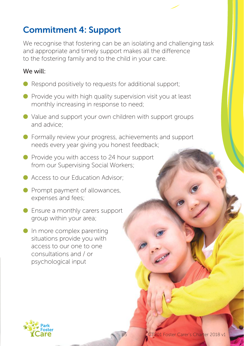## Commitment 4: Support

We recognise that fostering can be an isolating and challenging task and appropriate and timely support makes all the difference to the fostering family and to the child in your care.

- $\bullet$  Respond positively to requests for additional support;
- Provide you with high quality supervision visit you at least monthly increasing in response to need;
- Value and support your own children with support groups and advice;
- Formally review your progress, achievements and support needs every year giving you honest feedback;
- Provide you with access to 24 hour support from our Supervising Social Workers;
- Access to our Education Advisor:
- Prompt payment of allowances, expenses and fees;
- $\bullet$  Ensure a monthly carers support group within your area;
- $\bullet$  In more complex parenting situations provide you with access to our one to one consultations and / or psychological input

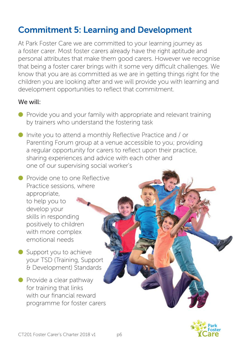## Commitment 5: Learning and Development

At Park Foster Care we are committed to your learning journey as a foster carer. Most foster carers already have the right aptitude and personal attributes that make them good carers. However we recognise that being a foster carer brings with it some very difficult challenges. We know that you are as committed as we are in getting things right for the children you are looking after and we will provide you with learning and development opportunities to reflect that commitment.

#### We will:

- Provide you and your family with appropriate and relevant training by trainers who understand the fostering task
- Invite you to attend a monthly Reflective Practice and / or Parenting Forum group at a venue accessible to you; providing a regular opportunity for carers to reflect upon their practice, sharing experiences and advice with each other and one of our supervising social worker's

● Provide one to one Reflective Practice sessions, where appropriate, to help you to develop your skills in responding positively to children with more complex emotional needs

- Support you to achieve your TSD (Training, Support & Development) Standards
- Provide a clear pathway for training that links with our financial reward programme for foster carers

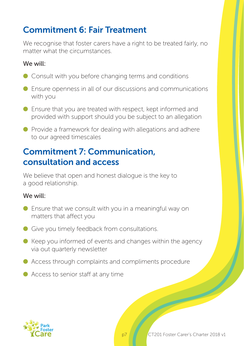## Commitment 6: Fair Treatment

We recognise that foster carers have a right to be treated fairly, no matter what the circumstances.

#### We will:

- Consult with you before changing terms and conditions
- Ensure openness in all of our discussions and communications with you
- $\bullet$  Ensure that you are treated with respect, kept informed and provided with support should you be subject to an allegation
- $\bullet$  Provide a framework for dealing with allegations and adhere to our agreed timescales

## Commitment 7: Communication, consultation and access

We believe that open and honest dialogue is the key to a good relationship.

- $\bullet$  Ensure that we consult with you in a meaningful way on matters that affect you
- Give you timely feedback from consultations.
- $\bullet$  Keep you informed of events and changes within the agency via out quarterly newsletter
- $\bullet$  Access through complaints and compliments procedure
- Access to senior staff at any time

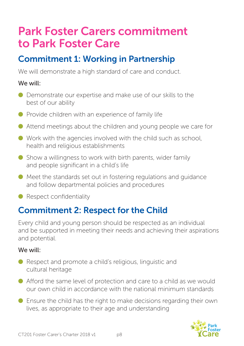# Park Foster Carers commitment to Park Foster Care

## Commitment 1: Working in Partnership

We will demonstrate a high standard of care and conduct.

#### We will:

- Demonstrate our expertise and make use of our skills to the best of our ability
- $\bullet$  Provide children with an experience of family life
- Attend meetings about the children and young people we care for
- $\bullet$  Work with the agencies involved with the child such as school, health and religious establishments
- $\bullet$  Show a willingness to work with birth parents, wider family and people significant in a child's life
- Meet the standards set out in fostering regulations and guidance and follow departmental policies and procedures
- Respect confidentiality

## Commitment 2: Respect for the Child

Every child and young person should be respected as an individual and be supported in meeting their needs and achieving their aspirations and potential.

- Respect and promote a child's religious, linguistic and cultural heritage
- $\bullet$  Afford the same level of protection and care to a child as we would our own child in accordance with the national minimum standards
- $\bullet$  Ensure the child has the right to make decisions regarding their own lives, as appropriate to their age and understanding

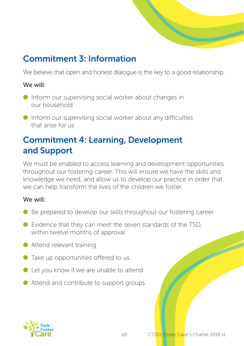

## Commitment 3: Information

We believe that open and honest dialogue is the key to a good relationship.

#### We will:

- Inform our supervising social worker about changes in our household
- $\bullet$  Inform our supervising social worker about any difficulties that arise for us

## Commitment 4: Learning, Development and Support

We must be enabled to access learning and development opportunities throughout our fostering career. This will ensure we have the skills and knowledge we need, and allow us to develop our practice in order that we can help transform the lives of the children we foster.

- $\bullet$  Be prepared to develop our skills throughout our fostering career
- Evidence that they can meet the seven standards of the TSD, within twelve months of approval
- Attend relevant training
- Take up opportunities offered to us
- $\bullet$  Let you know if we are unable to attend
- Attend and contribute to support groups.